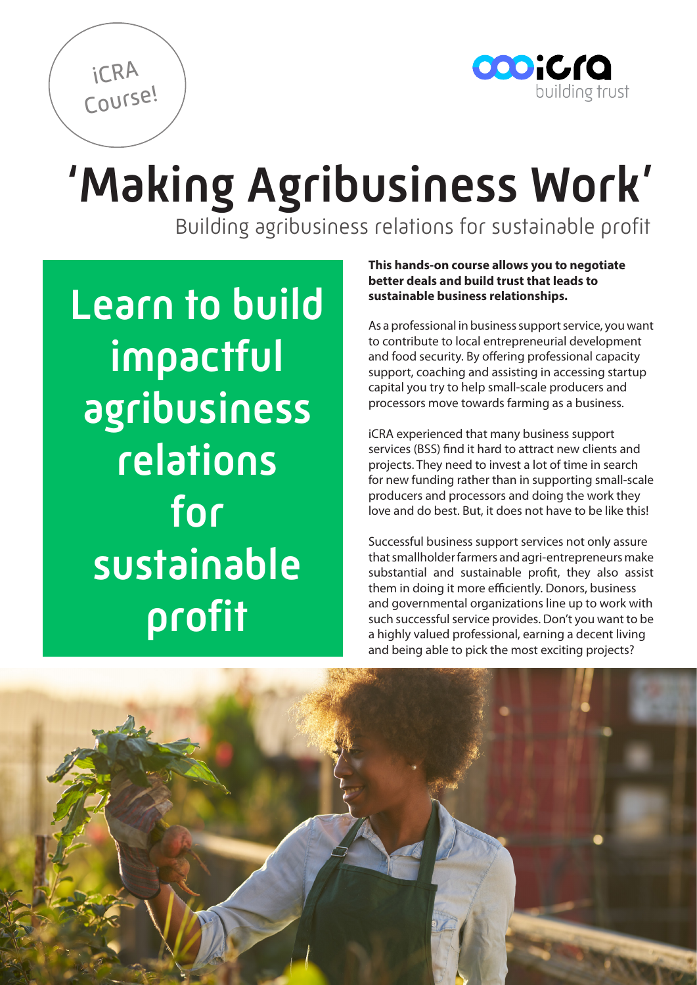

'Making Agribusiness Work'

Building agribusiness relations for sustainable profit

Learn to build impactful agribusiness relations for sustainable profit

iCRA

Course!

## **This hands-on course allows you to negotiate better deals and build trust that leads to sustainable business relationships.**

As a professional in business support service, you want to contribute to local entrepreneurial development and food security. By offering professional capacity support, coaching and assisting in accessing startup capital you try to help small-scale producers and processors move towards farming as a business.

iCRA experienced that many business support services (BSS) find it hard to attract new clients and projects. They need to invest a lot of time in search for new funding rather than in supporting small-scale producers and processors and doing the work they love and do best. But, it does not have to be like this!

Successful business support services not only assure that smallholder farmers and agri-entrepreneurs make substantial and sustainable profit, they also assist them in doing it more efficiently. Donors, business and governmental organizations line up to work with such successful service provides. Don't you want to be a highly valued professional, earning a decent living and being able to pick the most exciting projects?